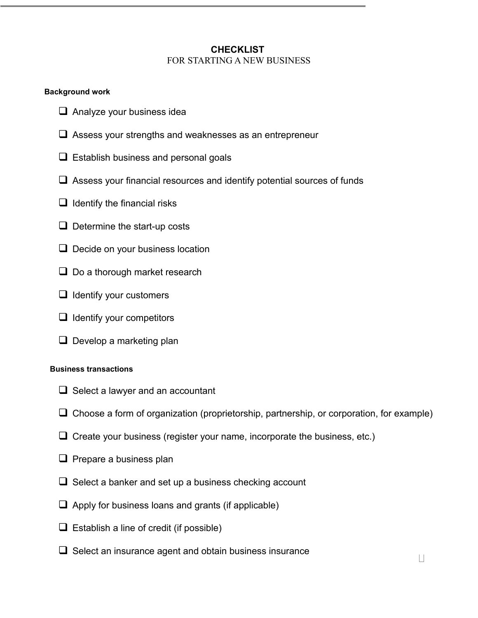## **CHECKLIST**  FOR STARTING A NEW BUSINESS

## **Background work**

- **Q** Analyze your business idea
- Assess your strengths and weaknesses as an entrepreneur
- $\square$  Establish business and personal goals
- Assess your financial resources and identify potential sources of funds
- $\Box$  Identify the financial risks
- $\Box$  Determine the start-up costs
- $\Box$  Decide on your business location
- $\Box$  Do a thorough market research
- $\Box$  Identify your customers
- $\Box$  Identify your competitors
- $\Box$  Develop a marketing plan

## **Business transactions**

- $\Box$  Select a lawyer and an accountant
- Choose a form of organization (proprietorship, partnership, or corporation, for example)
- $\Box$  Create your business (register your name, incorporate the business, etc.)
- $\Box$  Prepare a business plan
- $\Box$  Select a banker and set up a business checking account
- $\Box$  Apply for business loans and grants (if applicable)
- $\Box$  Establish a line of credit (if possible)
- $\Box$  Select an insurance agent and obtain business insurance